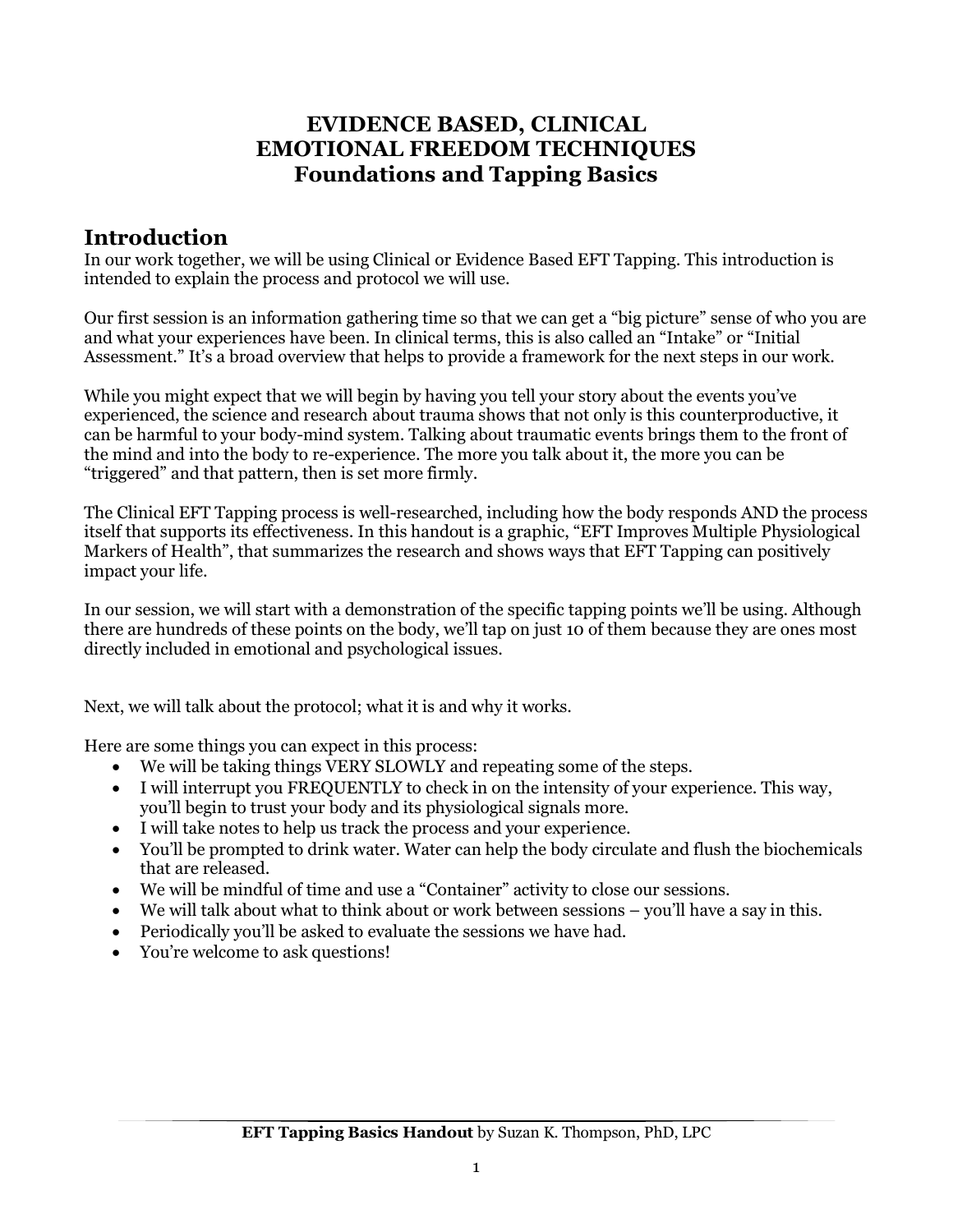## **EVIDENCE BASED, CLINICAL EMOTIONAL FREEDOM TECHNIQUES Foundations and Tapping Basics**

## **Introduction**

In our work together, we will be using Clinical or Evidence Based EFT Tapping. This introduction is intended to explain the process and protocol we will use.

Our first session is an information gathering time so that we can get a "big picture" sense of who you are and what your experiences have been. In clinical terms, this is also called an "Intake" or "Initial Assessment." It's a broad overview that helps to provide a framework for the next steps in our work.

While you might expect that we will begin by having you tell your story about the events you've experienced, the science and research about trauma shows that not only is this counterproductive, it can be harmful to your body-mind system. Talking about traumatic events brings them to the front of the mind and into the body to re-experience. The more you talk about it, the more you can be "triggered" and that pattern, then is set more firmly.

The Clinical EFT Tapping process is well-researched, including how the body responds AND the process itself that supports its effectiveness. In this handout is a graphic, "EFT Improves Multiple Physiological Markers of Health", that summarizes the research and shows ways that EFT Tapping can positively impact your life.

In our session, we will start with a demonstration of the specific tapping points we'll be using. Although there are hundreds of these points on the body, we'll tap on just 10 of them because they are ones most directly included in emotional and psychological issues.

Next, we will talk about the protocol; what it is and why it works.

Here are some things you can expect in this process:

- We will be taking things VERY SLOWLY and repeating some of the steps.
- I will interrupt you FREQUENTLY to check in on the intensity of your experience. This way, you'll begin to trust your body and its physiological signals more.
- I will take notes to help us track the process and your experience.
- You'll be prompted to drink water. Water can help the body circulate and flush the biochemicals that are released.
- We will be mindful of time and use a "Container" activity to close our sessions.
- We will talk about what to think about or work between sessions you'll have a say in this.
- Periodically you'll be asked to evaluate the sessions we have had.
- You're welcome to ask questions!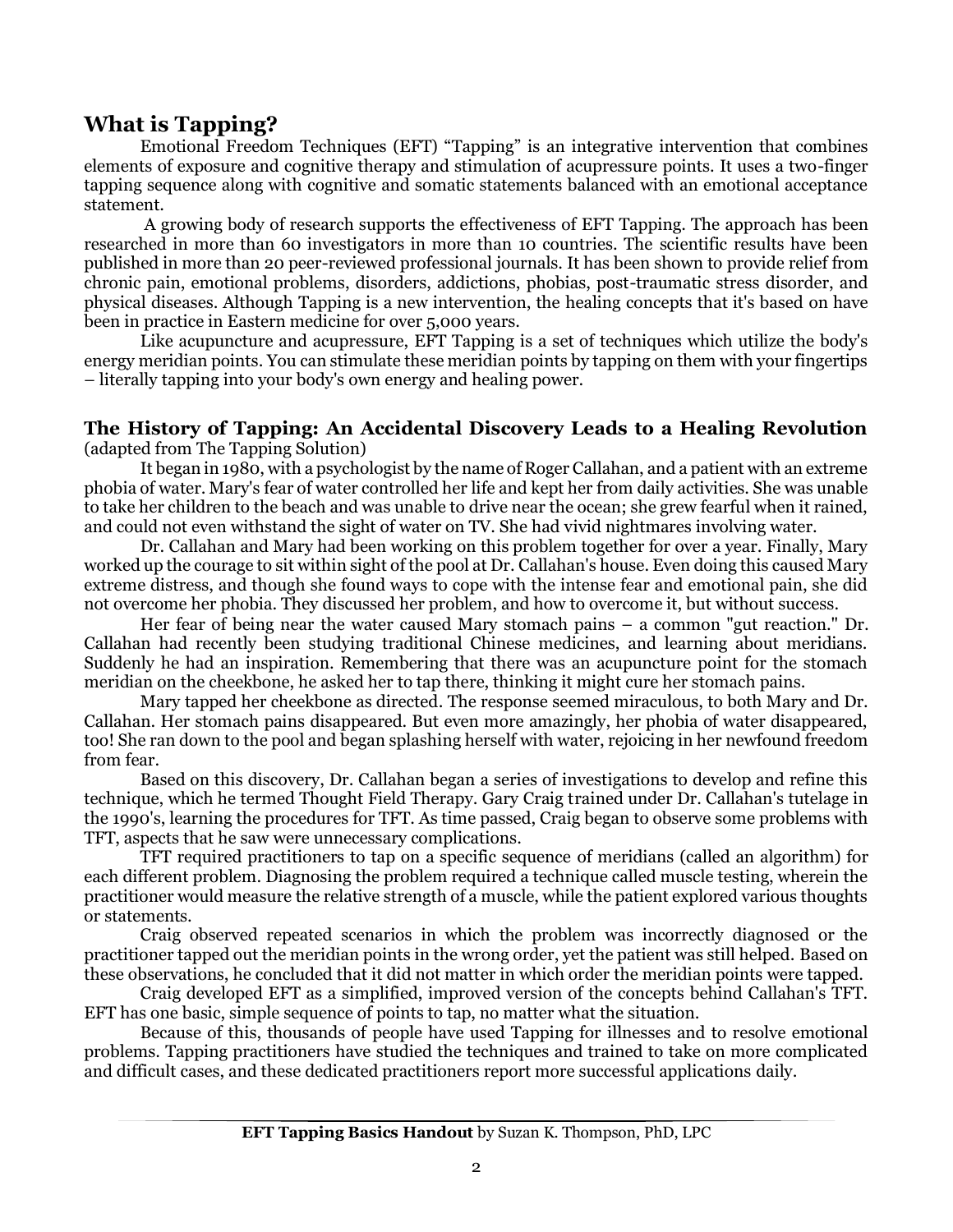#### **What is Tapping?**

Emotional Freedom Techniques (EFT) "Tapping" is an integrative intervention that combines elements of exposure and cognitive therapy and stimulation of acupressure points. It uses a two-finger tapping sequence along with cognitive and somatic statements balanced with an emotional acceptance statement.

A growing body of research supports the effectiveness of EFT Tapping. The approach has been researched in more than 60 investigators in more than 10 countries. The scientific results have been published in more than 20 peer-reviewed professional journals. It has been shown to provide relief from chronic pain, emotional problems, disorders, addictions, phobias, post-traumatic stress disorder, and physical diseases. Although Tapping is a new intervention, the healing concepts that it's based on have been in practice in Eastern medicine for over 5,000 years.

Like acupuncture and acupressure, EFT Tapping is a set of techniques which utilize the body's energy meridian points. You can stimulate these meridian points by tapping on them with your fingertips – literally tapping into your body's own energy and healing power.

#### **The History of Tapping: An Accidental Discovery Leads to a Healing Revolution**

(adapted from The Tapping Solution)

It began in 1980, with a psychologist by the name of Roger Callahan, and a patient with an extreme phobia of water. Mary's fear of water controlled her life and kept her from daily activities. She was unable to take her children to the beach and was unable to drive near the ocean; she grew fearful when it rained, and could not even withstand the sight of water on TV. She had vivid nightmares involving water.

Dr. Callahan and Mary had been working on this problem together for over a year. Finally, Mary worked up the courage to sit within sight of the pool at Dr. Callahan's house. Even doing this caused Mary extreme distress, and though she found ways to cope with the intense fear and emotional pain, she did not overcome her phobia. They discussed her problem, and how to overcome it, but without success.

Her fear of being near the water caused Mary stomach pains – a common "gut reaction." Dr. Callahan had recently been studying traditional Chinese medicines, and learning about meridians. Suddenly he had an inspiration. Remembering that there was an acupuncture point for the stomach meridian on the cheekbone, he asked her to tap there, thinking it might cure her stomach pains.

Mary tapped her cheekbone as directed. The response seemed miraculous, to both Mary and Dr. Callahan. Her stomach pains disappeared. But even more amazingly, her phobia of water disappeared, too! She ran down to the pool and began splashing herself with water, rejoicing in her newfound freedom from fear.

Based on this discovery, Dr. Callahan began a series of investigations to develop and refine this technique, which he termed Thought Field Therapy. Gary Craig trained under Dr. Callahan's tutelage in the 1990's, learning the procedures for TFT. As time passed, Craig began to observe some problems with TFT, aspects that he saw were unnecessary complications.

TFT required practitioners to tap on a specific sequence of meridians (called an algorithm) for each different problem. Diagnosing the problem required a technique called muscle testing, wherein the practitioner would measure the relative strength of a muscle, while the patient explored various thoughts or statements.

Craig observed repeated scenarios in which the problem was incorrectly diagnosed or the practitioner tapped out the meridian points in the wrong order, yet the patient was still helped. Based on these observations, he concluded that it did not matter in which order the meridian points were tapped.

Craig developed EFT as a simplified, improved version of the concepts behind Callahan's TFT. EFT has one basic, simple sequence of points to tap, no matter what the situation.

Because of this, thousands of people have used Tapping for illnesses and to resolve emotional problems. Tapping practitioners have studied the techniques and trained to take on more complicated and difficult cases, and these dedicated practitioners report more successful applications daily.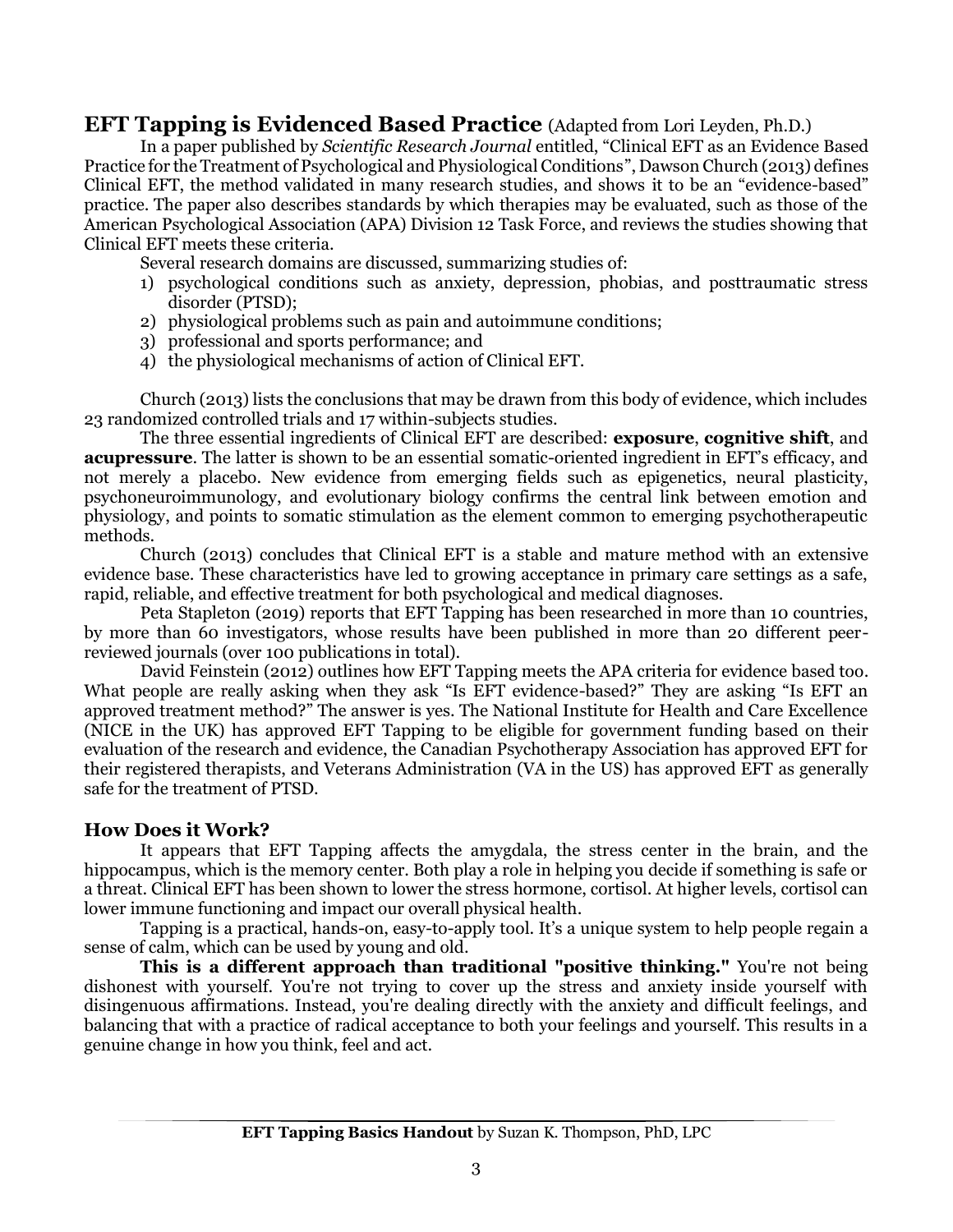#### **EFT Tapping is Evidenced Based Practice** (Adapted from Lori Leyden, Ph.D.)

In a paper published by *Scientific Research Journal* entitled, "Clinical EFT as an Evidence Based Practice for the Treatment of Psychological and Physiological Conditions", Dawson Church (2013) defines Clinical EFT, the method validated in many research studies, and shows it to be an "evidence-based" practice. The paper also describes standards by which therapies may be evaluated, such as those of the American Psychological Association (APA) Division 12 Task Force, and reviews the studies showing that Clinical EFT meets these criteria.

Several research domains are discussed, summarizing studies of:

- 1) psychological conditions such as anxiety, depression, phobias, and posttraumatic stress disorder (PTSD);
- 2) physiological problems such as pain and autoimmune conditions;
- 3) professional and sports performance; and
- 4) the physiological mechanisms of action of Clinical EFT.

Church (2013) lists the conclusions that may be drawn from this body of evidence, which includes 23 randomized controlled trials and 17 within-subjects studies.

The three essential ingredients of Clinical EFT are described: **exposure**, **cognitive shift**, and **acupressure**. The latter is shown to be an essential somatic-oriented ingredient in EFT's efficacy, and not merely a placebo. New evidence from emerging fields such as epigenetics, neural plasticity, psychoneuroimmunology, and evolutionary biology confirms the central link between emotion and physiology, and points to somatic stimulation as the element common to emerging psychotherapeutic methods.

Church (2013) concludes that Clinical EFT is a stable and mature method with an extensive evidence base. These characteristics have led to growing acceptance in primary care settings as a safe, rapid, reliable, and effective treatment for both psychological and medical diagnoses.

Peta Stapleton (2019) reports that EFT Tapping has been researched in more than 10 countries, by more than 60 investigators, whose results have been published in more than 20 different peerreviewed journals (over 100 publications in total).

David Feinstein (2012) outlines how EFT Tapping meets the APA criteria for evidence based too. What people are really asking when they ask "Is EFT evidence-based?" They are asking "Is EFT an approved treatment method?" The answer is yes. The National Institute for Health and Care Excellence (NICE in the UK) has approved EFT Tapping to be eligible for government funding based on their evaluation of the research and evidence, the Canadian Psychotherapy Association has approved EFT for their registered therapists, and Veterans Administration (VA in the US) has approved EFT as generally safe for the treatment of PTSD.

#### **How Does it Work?**

It appears that EFT Tapping affects the amygdala, the stress center in the brain, and the hippocampus, which is the memory center. Both play a role in helping you decide if something is safe or a threat. Clinical EFT has been shown to lower the stress hormone, cortisol. At higher levels, cortisol can lower immune functioning and impact our overall physical health.

Tapping is a practical, hands-on, easy-to-apply tool. It's a unique system to help people regain a sense of calm, which can be used by young and old.

**This is a different approach than traditional "positive thinking."** You're not being dishonest with yourself. You're not trying to cover up the stress and anxiety inside yourself with disingenuous affirmations. Instead, you're dealing directly with the anxiety and difficult feelings, and balancing that with a practice of radical acceptance to both your feelings and yourself. This results in a genuine change in how you think, feel and act.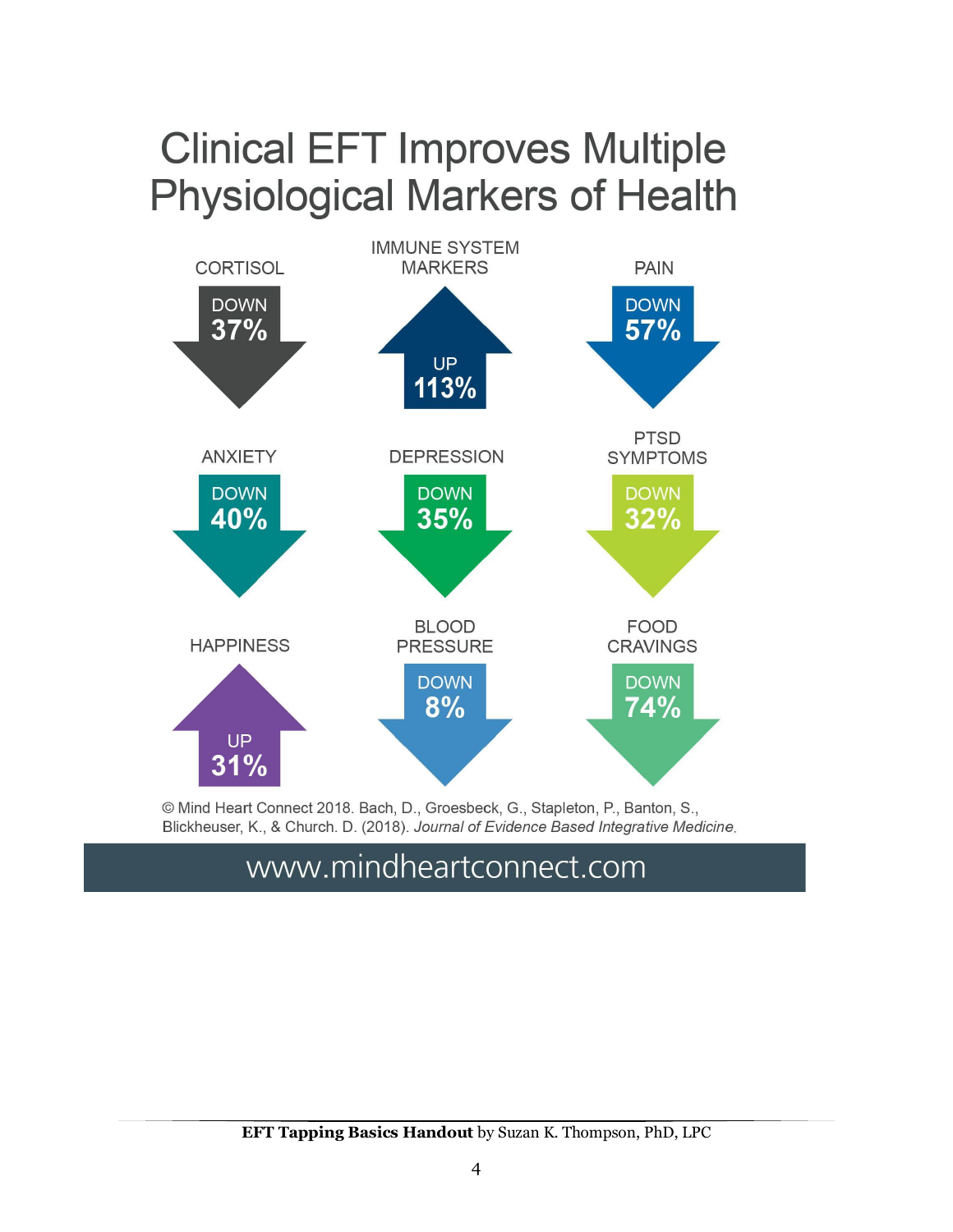# **Clinical EFT Improves Multiple Physiological Markers of Health**



© Mind Heart Connect 2018. Bach, D., Groesbeck, G., Stapleton, P., Banton, S., Blickheuser, K., & Church. D. (2018). Journal of Evidence Based Integrative Medicine.

# www.mindheartconnect.com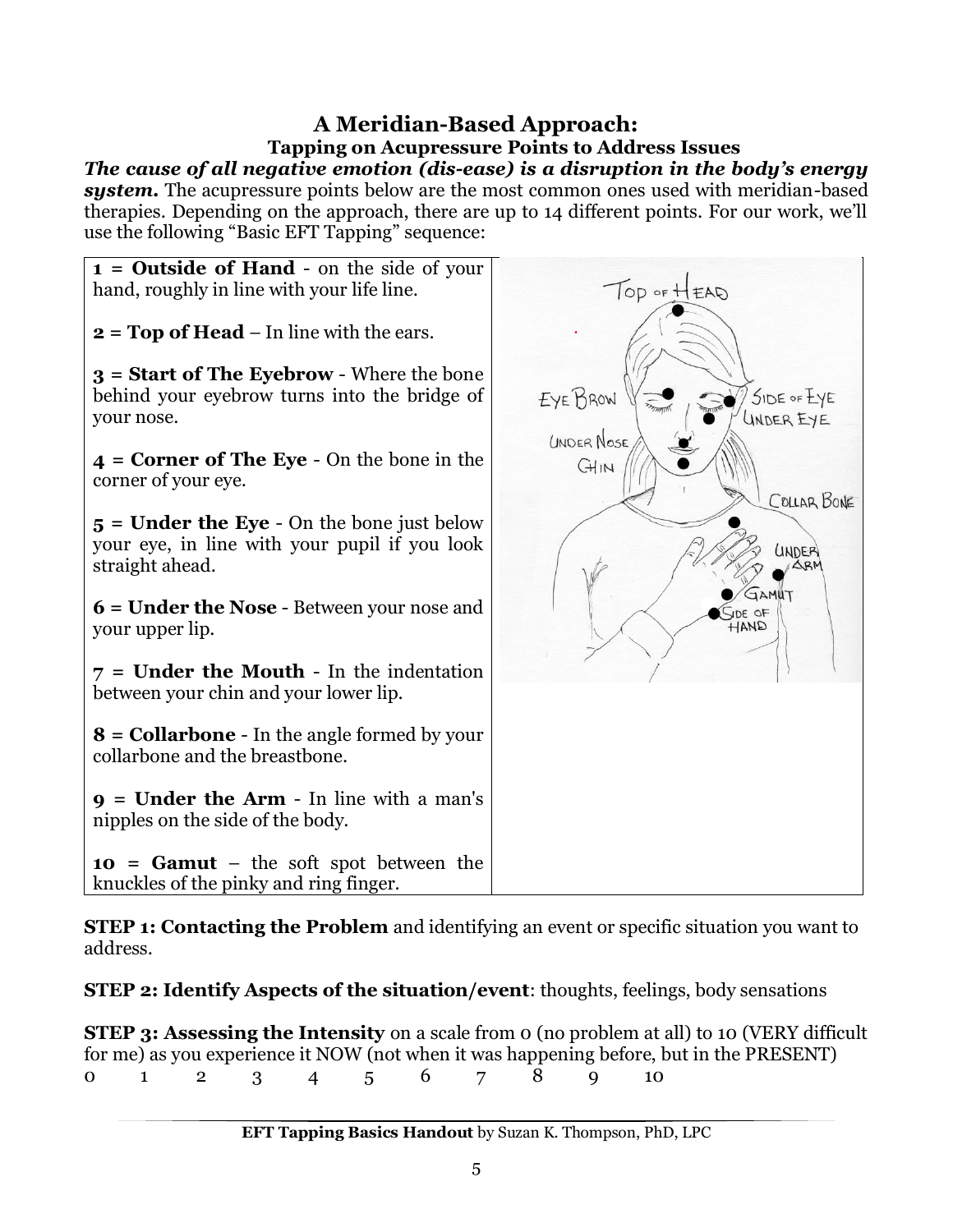## **A Meridian-Based Approach: Tapping on Acupressure Points to Address Issues**

*The cause of all negative emotion (dis-ease) is a disruption in the body's energy system.* The acupressure points below are the most common ones used with meridian-based therapies. Depending on the approach, there are up to 14 different points. For our work, we'll use the following "Basic EFT Tapping" sequence:



**STEP 1: Contacting the Problem** and identifying an event or specific situation you want to address.

**STEP 2: Identify Aspects of the situation/event**: thoughts, feelings, body sensations

**STEP 3: Assessing the Intensity** on a scale from 0 (no problem at all) to 10 (VERY difficult for me) as you experience it NOW (not when it was happening before, but in the PRESENT) 0 1 2 3 4 5 6 7 8 9 10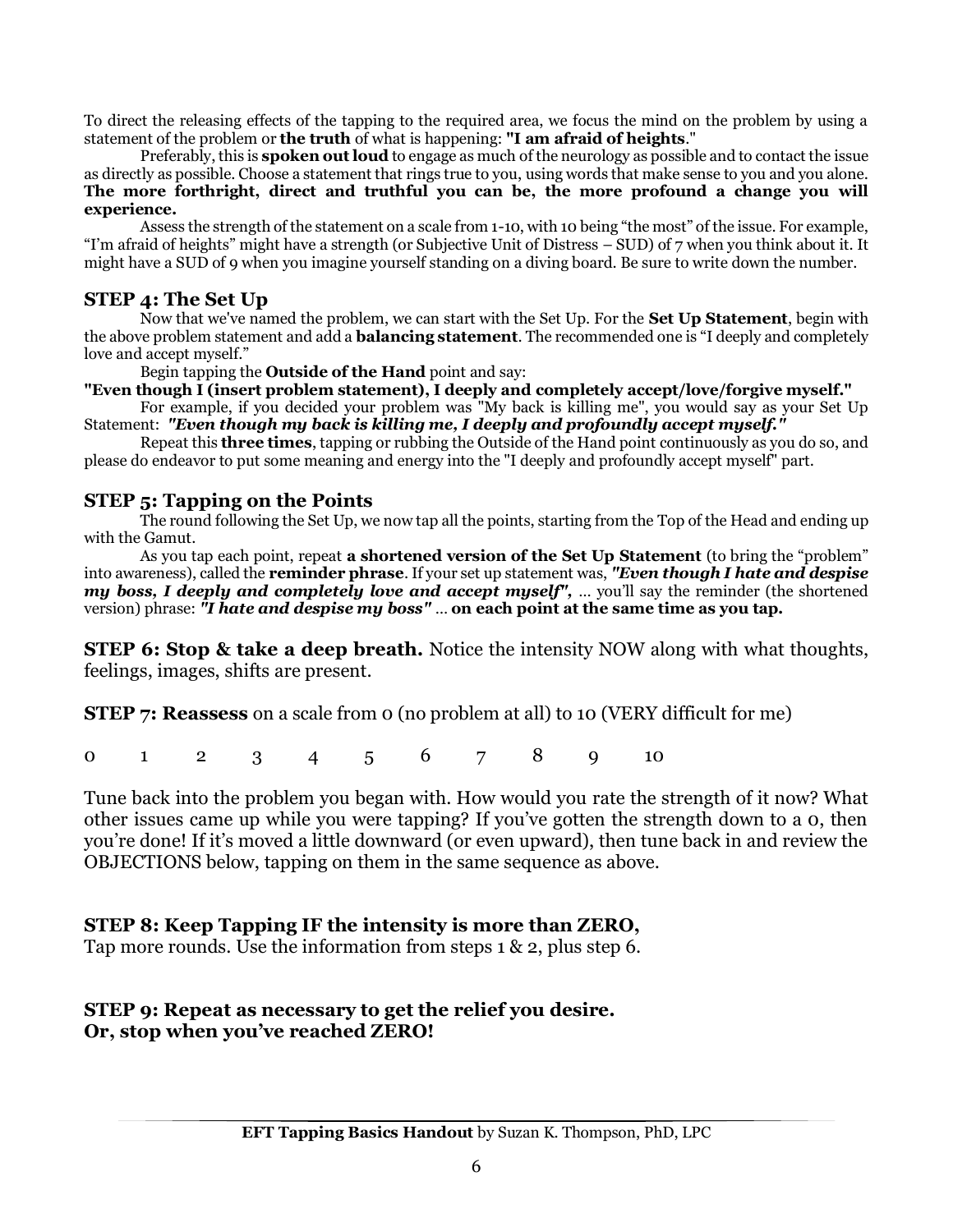To direct the releasing effects of the tapping to the required area, we focus the mind on the problem by using a statement of the problem or **the truth** of what is happening: **"I am afraid of heights**."

Preferably, this is **spoken out loud** to engage as much of the neurology as possible and to contact the issue as directly as possible. Choose a statement that rings true to you, using words that make sense to you and you alone. **The more forthright, direct and truthful you can be, the more profound a change you will experience.**

Assess the strength of the statement on a scale from 1-10, with 10 being "the most" of the issue. For example, "I'm afraid of heights" might have a strength (or Subjective Unit of Distress – SUD) of 7 when you think about it. It might have a SUD of 9 when you imagine yourself standing on a diving board. Be sure to write down the number.

#### **STEP 4: The Set Up**

Now that we've named the problem, we can start with the Set Up. For the **Set Up Statement**, begin with the above problem statement and add a **balancing statement**. The recommended one is "I deeply and completely love and accept myself."

Begin tapping the **Outside of the Hand** point and say:

**"Even though I (insert problem statement), I deeply and completely accept/love/forgive myself."** 

For example, if you decided your problem was "My back is killing me", you would say as your Set Up Statement: *"Even though my back is killing me, I deeply and profoundly accept myself."* 

Repeat this **three times**, tapping or rubbing the Outside of the Hand point continuously as you do so, and please do endeavor to put some meaning and energy into the "I deeply and profoundly accept myself" part.

#### **STEP 5: Tapping on the Points**

The round following the Set Up, we now tap all the points, starting from the Top of the Head and ending up with the Gamut.

As you tap each point, repeat **a shortened version of the Set Up Statement** (to bring the "problem" into awareness), called the **reminder phrase**. If your set up statement was, *"Even though I hate and despise my boss, I deeply and completely love and accept myself",* … you'll say the reminder (the shortened version) phrase: *"I hate and despise my boss"* … **on each point at the same time as you tap.**

**STEP 6: Stop & take a deep breath.** Notice the intensity NOW along with what thoughts, feelings, images, shifts are present.

**STEP 7: Reassess** on a scale from 0 (no problem at all) to 10 (VERY difficult for me)

0 1 2 3 4 5 6 7 8 9 10

Tune back into the problem you began with. How would you rate the strength of it now? What other issues came up while you were tapping? If you've gotten the strength down to a 0, then you're done! If it's moved a little downward (or even upward), then tune back in and review the OBJECTIONS below, tapping on them in the same sequence as above.

#### **STEP 8: Keep Tapping IF the intensity is more than ZERO,**

Tap more rounds. Use the information from steps 1 & 2, plus step 6.

#### **STEP 9: Repeat as necessary to get the relief you desire. Or, stop when you've reached ZERO!**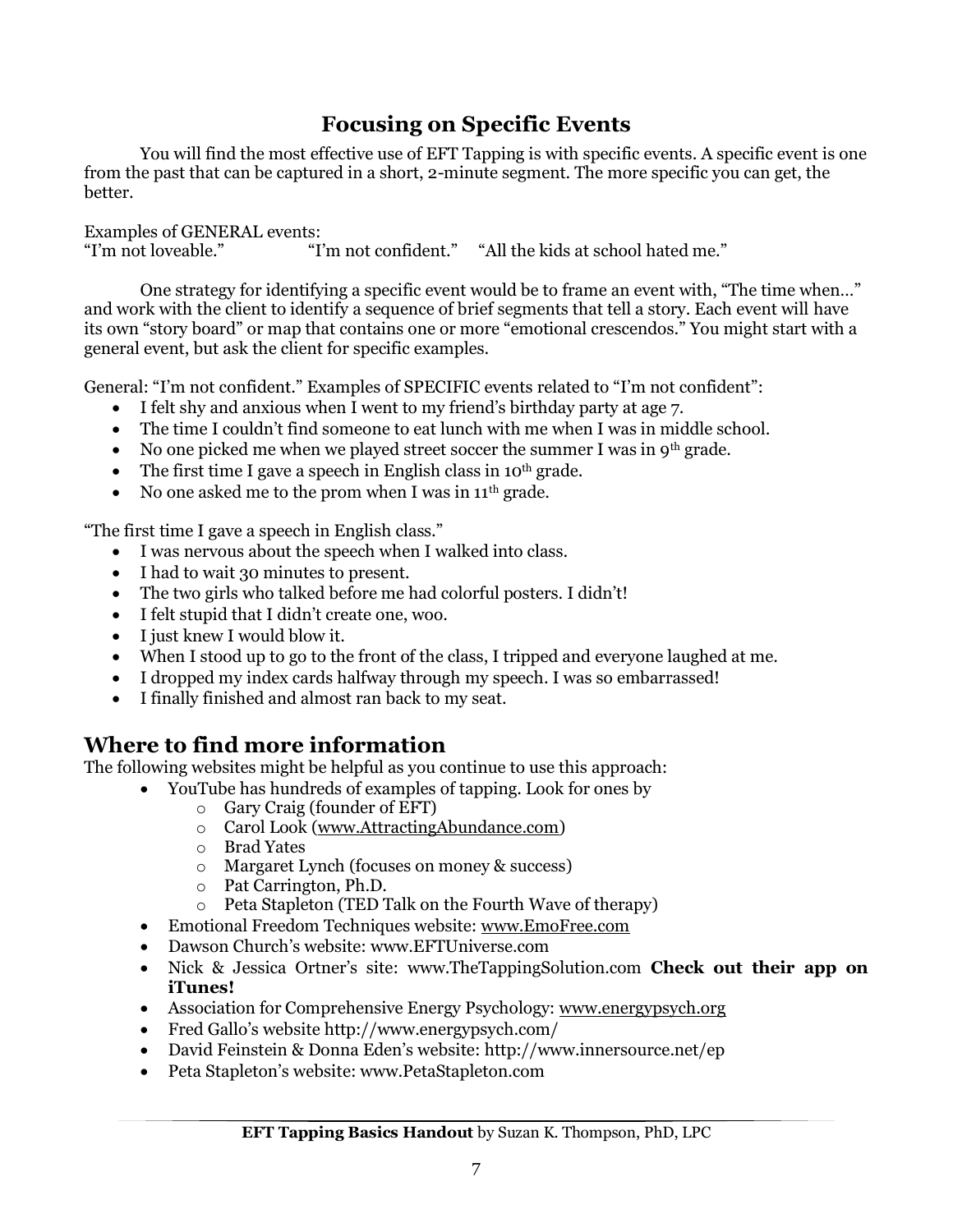## **Focusing on Specific Events**

You will find the most effective use of EFT Tapping is with specific events. A specific event is one from the past that can be captured in a short, 2-minute segment. The more specific you can get, the better.

Examples of GENERAL events: "I'm not confident." "All the kids at school hated me."

One strategy for identifying a specific event would be to frame an event with, "The time when…" and work with the client to identify a sequence of brief segments that tell a story. Each event will have its own "story board" or map that contains one or more "emotional crescendos." You might start with a general event, but ask the client for specific examples.

General: "I'm not confident." Examples of SPECIFIC events related to "I'm not confident":

- I felt shy and anxious when I went to my friend's birthday party at age 7.
- The time I couldn't find someone to eat lunch with me when I was in middle school.
- No one picked me when we played street soccer the summer I was in  $9<sup>th</sup>$  grade.
- The first time I gave a speech in English class in  $10^{th}$  grade.
- No one asked me to the prom when I was in  $11<sup>th</sup>$  grade.

"The first time I gave a speech in English class."

- I was nervous about the speech when I walked into class.
- I had to wait 30 minutes to present.
- The two girls who talked before me had colorful posters. I didn't!
- I felt stupid that I didn't create one, woo.
- I just knew I would blow it.
- When I stood up to go to the front of the class, I tripped and everyone laughed at me.
- I dropped my index cards halfway through my speech. I was so embarrassed!
- I finally finished and almost ran back to my seat.

#### **Where to find more information**

The following websites might be helpful as you continue to use this approach:

- YouTube has hundreds of examples of tapping. Look for ones by
	- o Gary Craig (founder of EFT)
	- o Carol Look [\(www.AttractingAbundance.com\)](http://www.attractingabundance.com/)
	- o Brad Yates
	- o Margaret Lynch (focuses on money & success)
	- o Pat Carrington, Ph.D.
	- o Peta Stapleton (TED Talk on the Fourth Wave of therapy)
	- Emotional Freedom Techniques website: [www.EmoFree.com](http://www.emofree.com/)
	- Dawson Church's website: www.EFTUniverse.com
	- Nick & Jessica Ortner's site: www.TheTappingSolution.com **Check out their app on iTunes!**
	- Association for Comprehensive Energy Psychology: [www.energypsych.org](http://www.energypsych.org/)
	- Fred Gallo's website http://www.energypsych.com/
	- David Feinstein & Donna Eden's website: http://www.innersource.net/ep
	- Peta Stapleton's website: www.PetaStapleton.com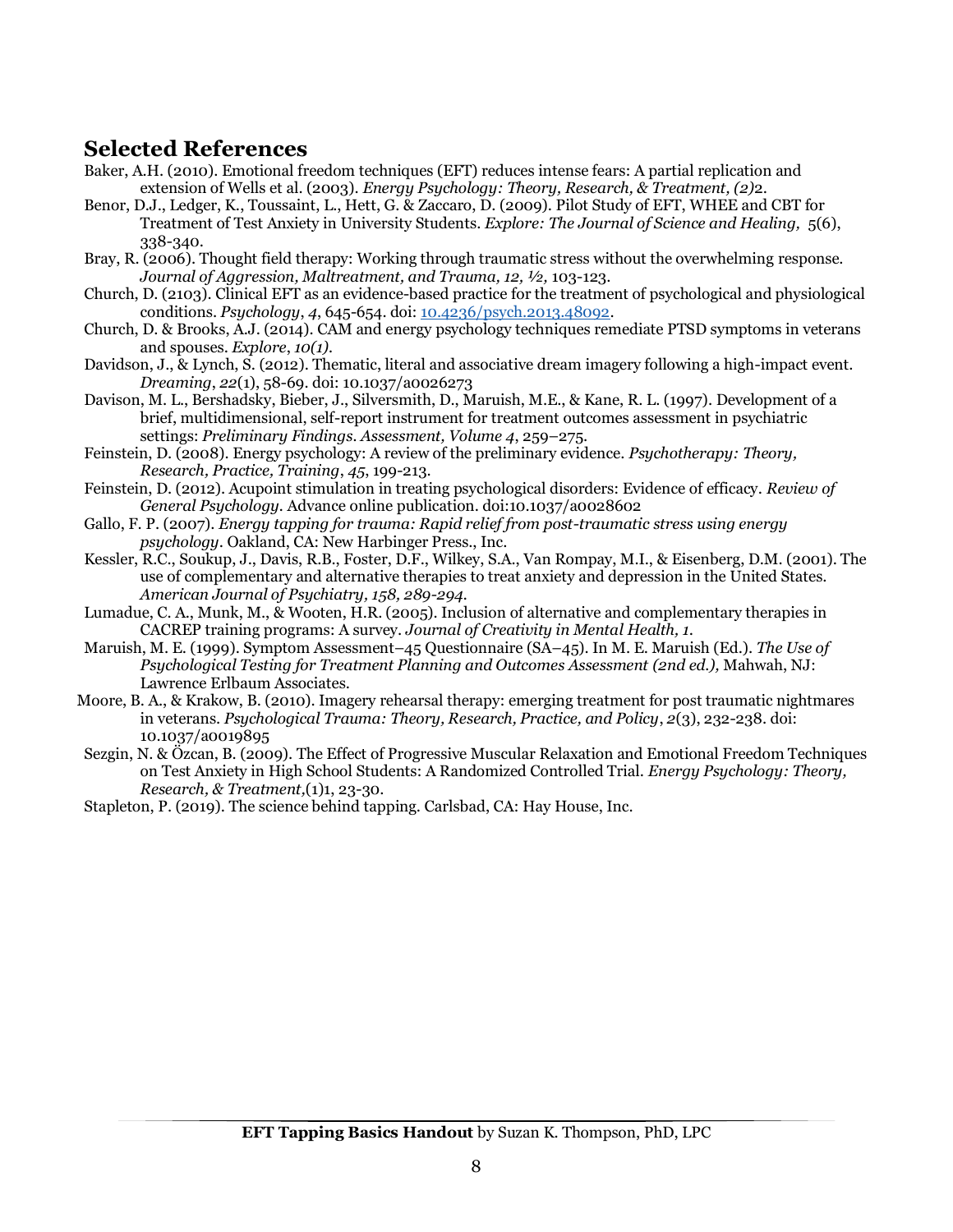## **Selected References**

- Baker, A.H. (2010). Emotional freedom techniques (EFT) reduces intense fears: A partial replication and extension of Wells et al. (2003). *Energy Psychology: Theory, Research, & Treatment, (2)*2.
- Benor, D.J., Ledger, K., Toussaint, L., Hett, G. & Zaccaro, D. (2009). Pilot Study of EFT, WHEE and CBT for Treatment of Test Anxiety in University Students. *Explore: The Journal of Science and Healing,* 5(6), 338-340.
- Bray, R. (2006). Thought field therapy: Working through traumatic stress without the overwhelming response. *Journal of Aggression, Maltreatment, and Trauma, 12, ½,* 103-123.
- Church, D. (2103). Clinical EFT as an evidence-based practice for the treatment of psychological and physiological conditions. *Psychology*, *4*, 645-654. doi: [10.4236/psych.2013.48092.](http://dx.doi.org/10.4236/psych.2013.48092)
- Church, D. & Brooks, A.J. (2014). CAM and energy psychology techniques remediate PTSD symptoms in veterans and spouses. *Explore*, *10(1).*
- Davidson, J., & Lynch, S. (2012). Thematic, literal and associative dream imagery following a high-impact event. *Dreaming*, *22*(1), 58-69. doi: 10.1037/a0026273
- Davison, M. L., Bershadsky, Bieber, J., Silversmith, D., Maruish, M.E., & Kane, R. L. (1997). Development of a brief, multidimensional, self-report instrument for treatment outcomes assessment in psychiatric settings: *Preliminary Findings. Assessment, Volume 4*, 259–275.
- Feinstein, D. (2008). Energy psychology: A review of the preliminary evidence. *Psychotherapy: Theory, Research, Practice, Training*, *45*, 199-213.
- Feinstein, D. (2012). Acupoint stimulation in treating psychological disorders: Evidence of efficacy. *Review of General Psychology.* Advance online publication. doi:10.1037/a0028602
- Gallo, F. P. (2007). *Energy tapping for trauma: Rapid relief from post-traumatic stress using energy psychology*. Oakland, CA: New Harbinger Press., Inc.
- Kessler, R.C., Soukup, J., Davis, R.B., Foster, D.F., Wilkey, S.A., Van Rompay, M.I., & Eisenberg, D.M. (2001). The use of complementary and alternative therapies to treat anxiety and depression in the United States. *American Journal of Psychiatry, 158, 289-294.*
- Lumadue, C. A., Munk, M., & Wooten, H.R. (2005). Inclusion of alternative and complementary therapies in CACREP training programs: A survey. *Journal of Creativity in Mental Health, 1*.
- Maruish, M. E. (1999). Symptom Assessment–45 Questionnaire (SA–45). In M. E. Maruish (Ed.). *The Use of Psychological Testing for Treatment Planning and Outcomes Assessment (2nd ed.),* Mahwah, NJ: Lawrence Erlbaum Associates.
- Moore, B. A., & Krakow, B. (2010). Imagery rehearsal therapy: emerging treatment for post traumatic nightmares in veterans. *Psychological Trauma: Theory, Research, Practice, and Policy*, *2*(3), 232-238. doi: 10.1037/a0019895
- Sezgin, N. & Özcan, B. (2009). The Effect of Progressive Muscular Relaxation and Emotional Freedom Techniques on Test Anxiety in High School Students: A Randomized Controlled Trial. *Energy Psychology: Theory, Research, & Treatment,*(1)1, 23-30.

Stapleton, P. (2019). The science behind tapping. Carlsbad, CA: Hay House, Inc.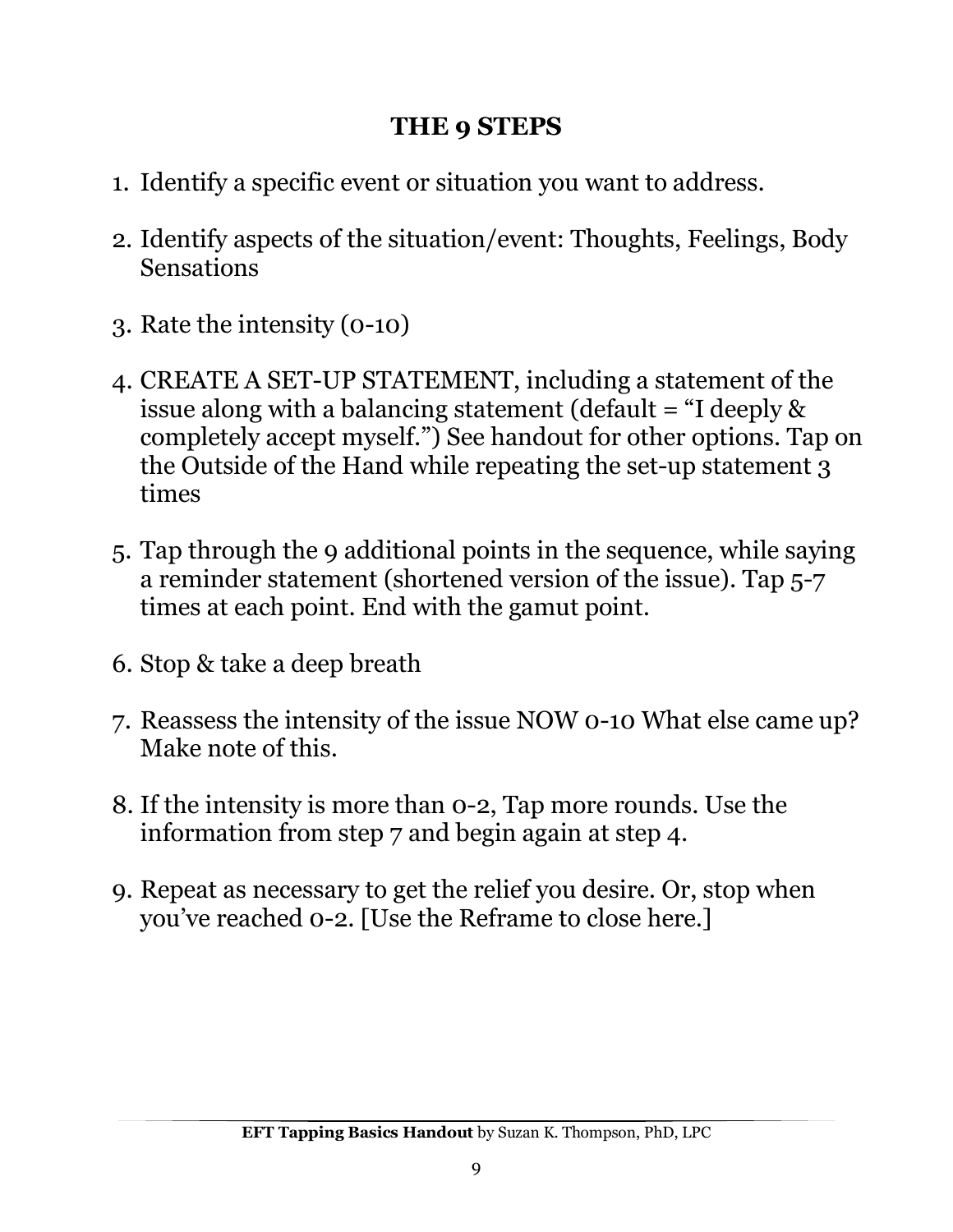# **THE 9 STEPS**

- 1. Identify a specific event or situation you want to address.
- 2. Identify aspects of the situation/event: Thoughts, Feelings, Body Sensations
- 3. Rate the intensity (0-10)
- 4. CREATE A SET-UP STATEMENT, including a statement of the issue along with a balancing statement (default = "I deeply & completely accept myself.") See handout for other options. Tap on the Outside of the Hand while repeating the set-up statement 3 times
- 5. Tap through the 9 additional points in the sequence, while saying a reminder statement (shortened version of the issue). Tap 5-7 times at each point. End with the gamut point.
- 6. Stop & take a deep breath
- 7. Reassess the intensity of the issue NOW 0-10 What else came up? Make note of this.
- 8. If the intensity is more than 0-2, Tap more rounds. Use the information from step 7 and begin again at step 4.
- 9. Repeat as necessary to get the relief you desire. Or, stop when you've reached 0-2. [Use the Reframe to close here.]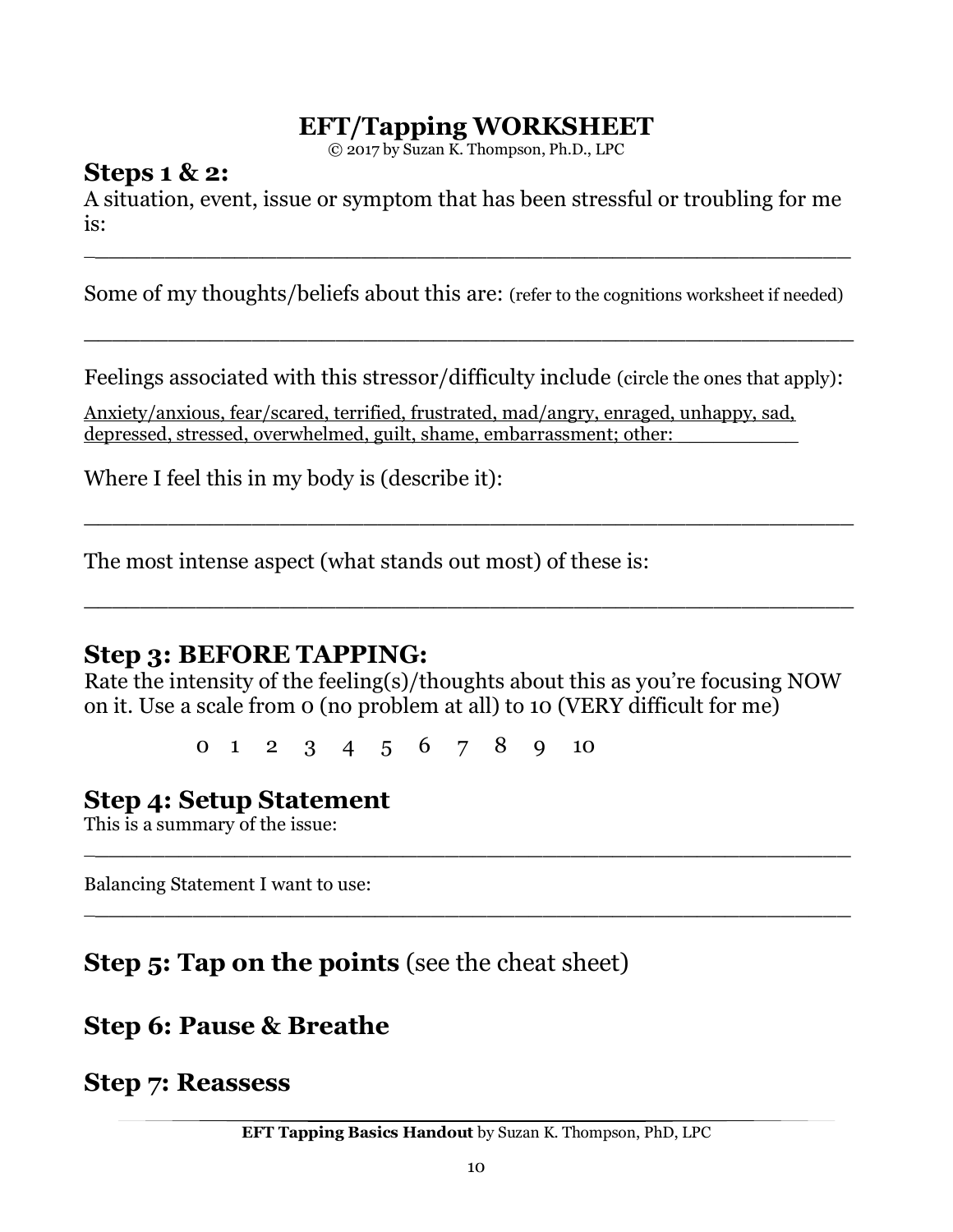# **EFT/Tapping WORKSHEET**

© 2017 by Suzan K. Thompson, Ph.D., LPC

## **Steps 1 & 2:**

A situation, event, issue or symptom that has been stressful or troubling for me is:

 $\frac{1}{2}$  , and the set of the set of the set of the set of the set of the set of the set of the set of the set of the set of the set of the set of the set of the set of the set of the set of the set of the set of the set

Some of my thoughts/beliefs about this are: (refer to the cognitions worksheet if needed)

\_\_\_\_\_\_\_\_\_\_\_\_\_\_\_\_\_\_\_\_\_\_\_\_\_\_\_\_\_\_\_\_\_\_\_\_\_\_\_\_\_\_\_\_\_\_\_\_\_\_\_\_\_\_\_

Feelings associated with this stressor/difficulty include (circle the ones that apply):

\_\_\_\_\_\_\_\_\_\_\_\_\_\_\_\_\_\_\_\_\_\_\_\_\_\_\_\_\_\_\_\_\_\_\_\_\_\_\_\_\_\_\_\_\_\_\_\_\_\_\_\_\_\_\_

\_\_\_\_\_\_\_\_\_\_\_\_\_\_\_\_\_\_\_\_\_\_\_\_\_\_\_\_\_\_\_\_\_\_\_\_\_\_\_\_\_\_\_\_\_\_\_\_\_\_\_\_\_\_\_

Anxiety/anxious, fear/scared, terrified, frustrated, mad/angry, enraged, unhappy, sad, depressed, stressed, overwhelmed, guilt, shame, embarrassment; other:

Where I feel this in my body is (describe it):

The most intense aspect (what stands out most) of these is:

## **Step 3: BEFORE TAPPING:**

Rate the intensity of the feeling(s)/thoughts about this as you're focusing NOW on it. Use a scale from 0 (no problem at all) to 10 (VERY difficult for me)

 $\frac{1}{2}$  , and the set of the set of the set of the set of the set of the set of the set of the set of the set of the set of the set of the set of the set of the set of the set of the set of the set of the set of the set

 $\frac{1}{2}$  , and the set of the set of the set of the set of the set of the set of the set of the set of the set of the set of the set of the set of the set of the set of the set of the set of the set of the set of the set

0 1 2 3 4 5 6 7 8 9 10

# **Step 4: Setup Statement**

This is a summary of the issue:

Balancing Statement I want to use:

# **Step 5: Tap on the points** (see the cheat sheet)

# **Step 6: Pause & Breathe**

**Step 7: Reassess**